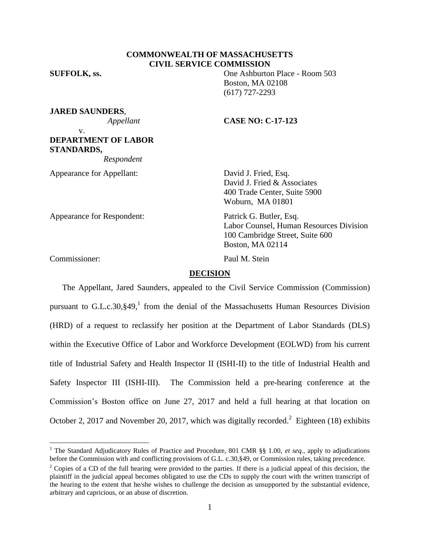# **COMMONWEALTH OF MASSACHUSETTS CIVIL SERVICE COMMISSION**

**SUFFOLK, ss.** One Ashburton Place - Room 503 Boston, MA 02108 (617) 727-2293

**JARED SAUNDERS**,

### *Appellant* **CASE NO: C-17-123**

v. **DEPARTMENT OF LABOR STANDARDS,**

 *Respondent*

Appearance for Appellant: David J. Fried, Esq.

David J. Fried & Associates 400 Trade Center, Suite 5900 Woburn, MA 01801

Appearance for Respondent: Patrick G. Butler, Esq. Labor Counsel, Human Resources Division 100 Cambridge Street, Suite 600 Boston, MA 02114

Commissioner: Paul M. Stein

 $\overline{a}$ 

### **DECISION**

The Appellant, Jared Saunders, appealed to the Civil Service Commission (Commission) pursuant to G.L.c.30, §49,<sup>1</sup> from the denial of the Massachusetts Human Resources Division (HRD) of a request to reclassify her position at the Department of Labor Standards (DLS) within the Executive Office of Labor and Workforce Development (EOLWD) from his current title of Industrial Safety and Health Inspector II (ISHI-II) to the title of Industrial Health and Safety Inspector III (ISHI-III). The Commission held a pre-hearing conference at the Commission's Boston office on June 27, 2017 and held a full hearing at that location on October 2, 2017 and November 20, 2017, which was digitally recorded.<sup>2</sup> Eighteen (18) exhibits

<sup>&</sup>lt;sup>1</sup> The Standard Adjudicatory Rules of Practice and Procedure, 801 CMR §§ 1.00, *et seq.*, apply to adjudications before the Commission with and conflicting provisions of G.L. c.30,§49, or Commission rules, taking precedence.

<sup>&</sup>lt;sup>2</sup> Copies of a CD of the full hearing were provided to the parties. If there is a judicial appeal of this decision, the plaintiff in the judicial appeal becomes obligated to use the CDs to supply the court with the written transcript of the hearing to the extent that he/she wishes to challenge the decision as unsupported by the substantial evidence, arbitrary and capricious, or an abuse of discretion.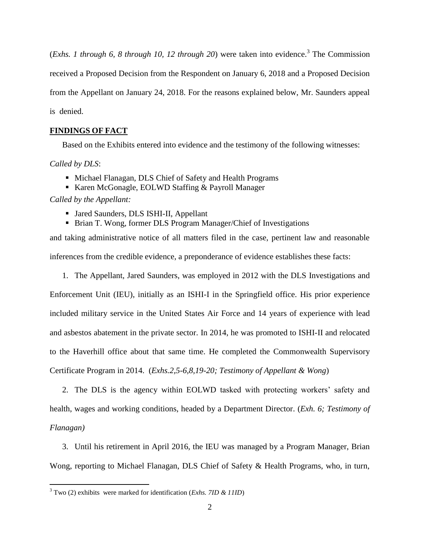(*Exhs. 1 through 6, 8 through 10, 12 through 20*) were taken into evidence.<sup>3</sup> The Commission received a Proposed Decision from the Respondent on January 6, 2018 and a Proposed Decision from the Appellant on January 24, 2018. For the reasons explained below, Mr. Saunders appeal is denied.

# **FINDINGS OF FACT**

Based on the Exhibits entered into evidence and the testimony of the following witnesses:

### *Called by DLS*:

 $\overline{a}$ 

- Michael Flanagan, DLS Chief of Safety and Health Programs
- Karen McGonagle, EOLWD Staffing & Payroll Manager

### *Called by the Appellant:*

- Jared Saunders, DLS ISHI-II, Appellant
- Brian T. Wong, former DLS Program Manager/Chief of Investigations

and taking administrative notice of all matters filed in the case, pertinent law and reasonable inferences from the credible evidence, a preponderance of evidence establishes these facts:

1. The Appellant, Jared Saunders, was employed in 2012 with the DLS Investigations and Enforcement Unit (IEU), initially as an ISHI-I in the Springfield office. His prior experience included military service in the United States Air Force and 14 years of experience with lead and asbestos abatement in the private sector. In 2014, he was promoted to ISHI-II and relocated to the Haverhill office about that same time. He completed the Commonwealth Supervisory Certificate Program in 2014. (*Exhs.2,5-6,8,19-20; Testimony of Appellant & Wong*)

2. The DLS is the agency within EOLWD tasked with protecting workers' safety and health, wages and working conditions, headed by a Department Director. (*Exh. 6; Testimony of Flanagan)*

3. Until his retirement in April 2016, the IEU was managed by a Program Manager, Brian Wong, reporting to Michael Flanagan, DLS Chief of Safety & Health Programs, who, in turn,

<sup>3</sup> Two (2) exhibits were marked for identification (*Exhs. 7ID & 11ID*)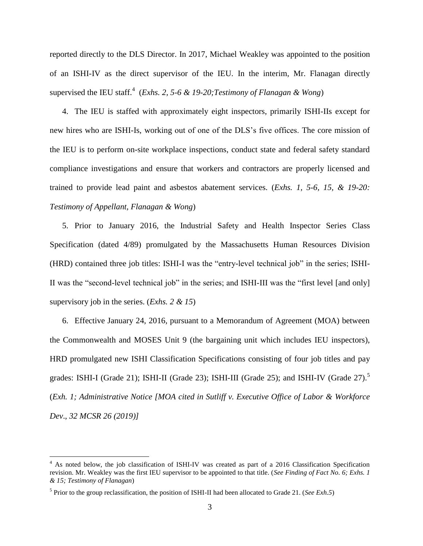reported directly to the DLS Director. In 2017, Michael Weakley was appointed to the position of an ISHI-IV as the direct supervisor of the IEU. In the interim, Mr. Flanagan directly supervised the IEU staff.<sup>4</sup> (*Exhs. 2, 5-6 & 19-20; Testimony of Flanagan & Wong*)

4. The IEU is staffed with approximately eight inspectors, primarily ISHI-IIs except for new hires who are ISHI-Is, working out of one of the DLS's five offices. The core mission of the IEU is to perform on-site workplace inspections, conduct state and federal safety standard compliance investigations and ensure that workers and contractors are properly licensed and trained to provide lead paint and asbestos abatement services. (*Exhs. 1, 5-6, 15, & 19-20: Testimony of Appellant, Flanagan & Wong*)

5. Prior to January 2016, the Industrial Safety and Health Inspector Series Class Specification (dated 4/89) promulgated by the Massachusetts Human Resources Division (HRD) contained three job titles: ISHI-I was the "entry-level technical job" in the series; ISHI-II was the "second-level technical job" in the series; and ISHI-III was the "first level [and only] supervisory job in the series. (*Exhs. 2 & 15*)

6. Effective January 24, 2016, pursuant to a Memorandum of Agreement (MOA) between the Commonwealth and MOSES Unit 9 (the bargaining unit which includes IEU inspectors), HRD promulgated new ISHI Classification Specifications consisting of four job titles and pay grades: ISHI-I (Grade 21); ISHI-II (Grade 23); ISHI-III (Grade 25); and ISHI-IV (Grade 27).<sup>5</sup> (*Exh. 1; Administrative Notice [MOA cited in Sutliff v. Executive Office of Labor & Workforce Dev*., *32 MCSR 26 (2019)]*

 $\overline{a}$ 

<sup>&</sup>lt;sup>4</sup> As noted below, the job classification of ISHI-IV was created as part of a 2016 Classification Specification revision. Mr. Weakley was the first IEU supervisor to be appointed to that title. (*See Finding of Fact No. 6; Exhs. 1 & 15; Testimony of Flanagan*)

<sup>&</sup>lt;sup>5</sup> Prior to the group reclassification, the position of ISHI-II had been allocated to Grade 21. (*See Exh.5*)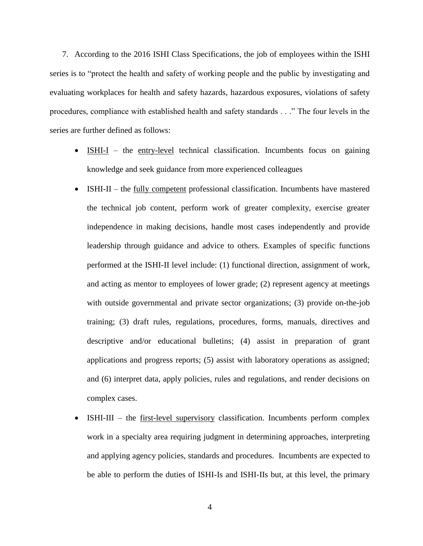7. According to the 2016 ISHI Class Specifications, the job of employees within the ISHI series is to "protect the health and safety of working people and the public by investigating and evaluating workplaces for health and safety hazards, hazardous exposures, violations of safety procedures, compliance with established health and safety standards . . ." The four levels in the series are further defined as follows:

- ISHI-I the entry-level technical classification. Incumbents focus on gaining knowledge and seek guidance from more experienced colleagues
- ISHI-II the fully competent professional classification. Incumbents have mastered the technical job content, perform work of greater complexity, exercise greater independence in making decisions, handle most cases independently and provide leadership through guidance and advice to others. Examples of specific functions performed at the ISHI-II level include: (1) functional direction, assignment of work, and acting as mentor to employees of lower grade; (2) represent agency at meetings with outside governmental and private sector organizations; (3) provide on-the-job training; (3) draft rules, regulations, procedures, forms, manuals, directives and descriptive and/or educational bulletins; (4) assist in preparation of grant applications and progress reports; (5) assist with laboratory operations as assigned; and (6) interpret data, apply policies, rules and regulations, and render decisions on complex cases.
- ISHI-III the first-level supervisory classification. Incumbents perform complex work in a specialty area requiring judgment in determining approaches, interpreting and applying agency policies, standards and procedures. Incumbents are expected to be able to perform the duties of ISHI-Is and ISHI-IIs but, at this level, the primary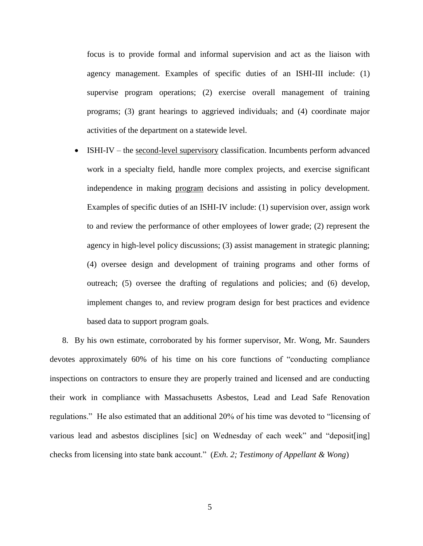focus is to provide formal and informal supervision and act as the liaison with agency management. Examples of specific duties of an ISHI-III include: (1) supervise program operations; (2) exercise overall management of training programs; (3) grant hearings to aggrieved individuals; and (4) coordinate major activities of the department on a statewide level.

• ISHI-IV – the second-level supervisory classification. Incumbents perform advanced work in a specialty field, handle more complex projects, and exercise significant independence in making program decisions and assisting in policy development. Examples of specific duties of an ISHI-IV include: (1) supervision over, assign work to and review the performance of other employees of lower grade; (2) represent the agency in high-level policy discussions; (3) assist management in strategic planning; (4) oversee design and development of training programs and other forms of outreach; (5) oversee the drafting of regulations and policies; and (6) develop, implement changes to, and review program design for best practices and evidence based data to support program goals.

8. By his own estimate, corroborated by his former supervisor, Mr. Wong, Mr. Saunders devotes approximately 60% of his time on his core functions of "conducting compliance inspections on contractors to ensure they are properly trained and licensed and are conducting their work in compliance with Massachusetts Asbestos, Lead and Lead Safe Renovation regulations." He also estimated that an additional 20% of his time was devoted to "licensing of various lead and asbestos disciplines [sic] on Wednesday of each week" and "deposit[ing] checks from licensing into state bank account." (*Exh. 2; Testimony of Appellant & Wong*)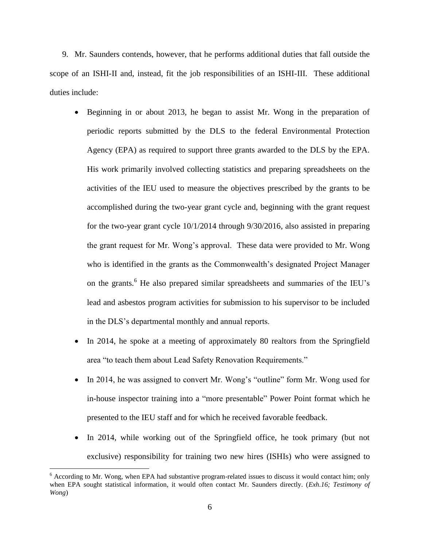9. Mr. Saunders contends, however, that he performs additional duties that fall outside the scope of an ISHI-II and, instead, fit the job responsibilities of an ISHI-III. These additional duties include:

- Beginning in or about 2013, he began to assist Mr. Wong in the preparation of periodic reports submitted by the DLS to the federal Environmental Protection Agency (EPA) as required to support three grants awarded to the DLS by the EPA. His work primarily involved collecting statistics and preparing spreadsheets on the activities of the IEU used to measure the objectives prescribed by the grants to be accomplished during the two-year grant cycle and, beginning with the grant request for the two-year grant cycle 10/1/2014 through 9/30/2016, also assisted in preparing the grant request for Mr. Wong's approval. These data were provided to Mr. Wong who is identified in the grants as the Commonwealth's designated Project Manager on the grants.<sup>6</sup> He also prepared similar spreadsheets and summaries of the IEU's lead and asbestos program activities for submission to his supervisor to be included in the DLS's departmental monthly and annual reports.
- In 2014, he spoke at a meeting of approximately 80 realtors from the Springfield area "to teach them about Lead Safety Renovation Requirements."
- In 2014, he was assigned to convert Mr. Wong's "outline" form Mr. Wong used for in-house inspector training into a "more presentable" Power Point format which he presented to the IEU staff and for which he received favorable feedback.
- In 2014, while working out of the Springfield office, he took primary (but not exclusive) responsibility for training two new hires (ISHIs) who were assigned to

 $\overline{a}$ 

<sup>&</sup>lt;sup>6</sup> According to Mr. Wong, when EPA had substantive program-related issues to discuss it would contact him; only when EPA sought statistical information, it would often contact Mr. Saunders directly. (*Exh.16; Testimony of Wong*)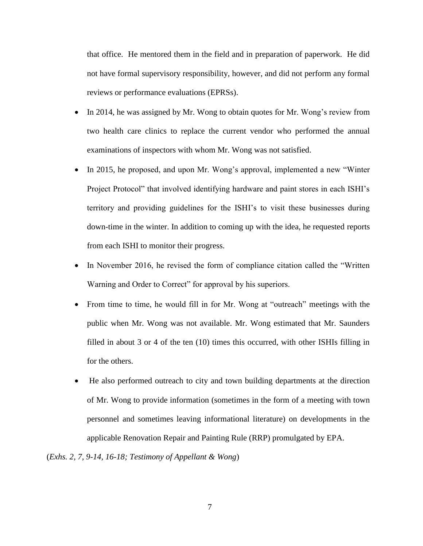that office. He mentored them in the field and in preparation of paperwork. He did not have formal supervisory responsibility, however, and did not perform any formal reviews or performance evaluations (EPRSs).

- In 2014, he was assigned by Mr. Wong to obtain quotes for Mr. Wong's review from two health care clinics to replace the current vendor who performed the annual examinations of inspectors with whom Mr. Wong was not satisfied.
- In 2015, he proposed, and upon Mr. Wong's approval, implemented a new "Winter" Project Protocol" that involved identifying hardware and paint stores in each ISHI's territory and providing guidelines for the ISHI's to visit these businesses during down-time in the winter. In addition to coming up with the idea, he requested reports from each ISHI to monitor their progress.
- In November 2016, he revised the form of compliance citation called the "Written" Warning and Order to Correct" for approval by his superiors.
- From time to time, he would fill in for Mr. Wong at "outreach" meetings with the public when Mr. Wong was not available. Mr. Wong estimated that Mr. Saunders filled in about 3 or 4 of the ten (10) times this occurred, with other ISHIs filling in for the others.
- He also performed outreach to city and town building departments at the direction of Mr. Wong to provide information (sometimes in the form of a meeting with town personnel and sometimes leaving informational literature) on developments in the applicable Renovation Repair and Painting Rule (RRP) promulgated by EPA.

(*Exhs. 2, 7, 9-14, 16-18; Testimony of Appellant & Wong*)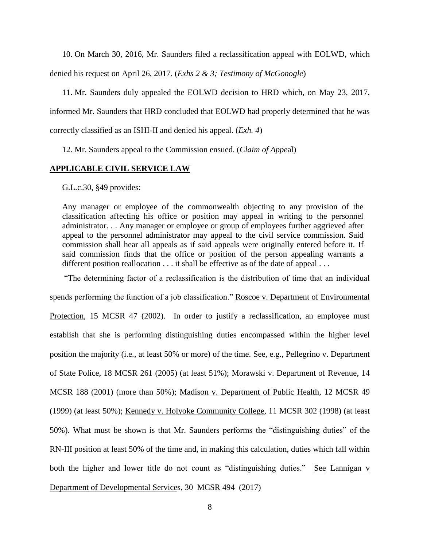10. On March 30, 2016, Mr. Saunders filed a reclassification appeal with EOLWD, which

denied his request on April 26, 2017. (*Exhs 2 & 3; Testimony of McGonogle*)

11. Mr. Saunders duly appealed the EOLWD decision to HRD which, on May 23, 2017,

informed Mr. Saunders that HRD concluded that EOLWD had properly determined that he was

correctly classified as an ISHI-II and denied his appeal. (*Exh. 4*)

12. Mr. Saunders appeal to the Commission ensued. (*Claim of Appe*al)

## **APPLICABLE CIVIL SERVICE LAW**

G.L.c.30, §49 provides:

Any manager or employee of the commonwealth objecting to any provision of the classification affecting his office or position may appeal in writing to the personnel administrator. . . Any manager or employee or group of employees further aggrieved after appeal to the personnel administrator may appeal to the civil service commission. Said commission shall hear all appeals as if said appeals were originally entered before it. If said commission finds that the office or position of the person appealing warrants a different position reallocation . . . it shall be effective as of the date of appeal . . .

"The determining factor of a reclassification is the distribution of time that an individual

spends performing the function of a job classification." Roscoe v. Department of Environmental Protection, 15 MCSR 47 (2002). In order to justify a reclassification, an employee must establish that she is performing distinguishing duties encompassed within the higher level position the majority (i.e., at least 50% or more) of the time. See, e.g., Pellegrino v. Department of State Police, 18 MCSR 261 (2005) (at least 51%); Morawski v. Department of Revenue, 14 MCSR 188 (2001) (more than 50%); Madison v. Department of Public Health, 12 MCSR 49 (1999) (at least 50%); Kennedy v. Holyoke Community College, 11 MCSR 302 (1998) (at least 50%). What must be shown is that Mr. Saunders performs the "distinguishing duties" of the RN-III position at least 50% of the time and, in making this calculation, duties which fall within both the higher and lower title do not count as "distinguishing duties." See Lannigan v Department of Developmental Services, 30 MCSR 494 (2017)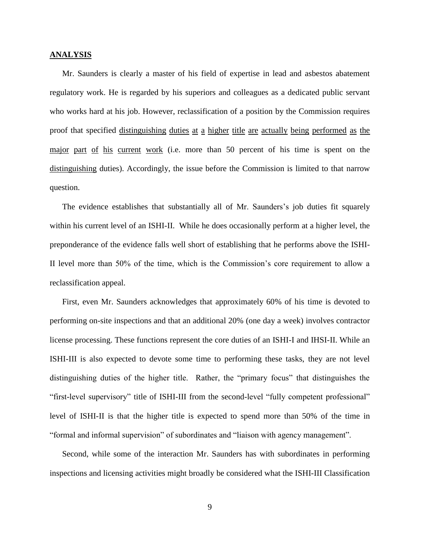#### **ANALYSIS**

Mr. Saunders is clearly a master of his field of expertise in lead and asbestos abatement regulatory work. He is regarded by his superiors and colleagues as a dedicated public servant who works hard at his job. However, reclassification of a position by the Commission requires proof that specified distinguishing duties at a higher title are actually being performed as the major part of his current work (i.e. more than 50 percent of his time is spent on the distinguishing duties). Accordingly, the issue before the Commission is limited to that narrow question.

The evidence establishes that substantially all of Mr. Saunders's job duties fit squarely within his current level of an ISHI-II. While he does occasionally perform at a higher level, the preponderance of the evidence falls well short of establishing that he performs above the ISHI-II level more than 50% of the time, which is the Commission's core requirement to allow a reclassification appeal.

First, even Mr. Saunders acknowledges that approximately 60% of his time is devoted to performing on-site inspections and that an additional 20% (one day a week) involves contractor license processing. These functions represent the core duties of an ISHI-I and IHSI-II. While an ISHI-III is also expected to devote some time to performing these tasks, they are not level distinguishing duties of the higher title. Rather, the "primary focus" that distinguishes the "first-level supervisory" title of ISHI-III from the second-level "fully competent professional" level of ISHI-II is that the higher title is expected to spend more than 50% of the time in "formal and informal supervision" of subordinates and "liaison with agency management".

Second, while some of the interaction Mr. Saunders has with subordinates in performing inspections and licensing activities might broadly be considered what the ISHI-III Classification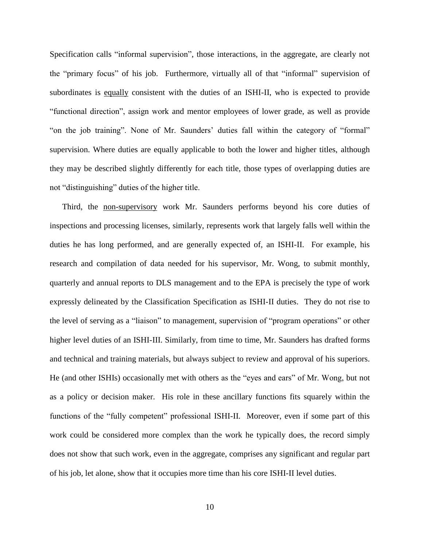Specification calls "informal supervision", those interactions, in the aggregate, are clearly not the "primary focus" of his job. Furthermore, virtually all of that "informal" supervision of subordinates is equally consistent with the duties of an ISHI-II, who is expected to provide "functional direction", assign work and mentor employees of lower grade, as well as provide "on the job training". None of Mr. Saunders' duties fall within the category of "formal" supervision. Where duties are equally applicable to both the lower and higher titles, although they may be described slightly differently for each title, those types of overlapping duties are not "distinguishing" duties of the higher title.

Third, the non-supervisory work Mr. Saunders performs beyond his core duties of inspections and processing licenses, similarly, represents work that largely falls well within the duties he has long performed, and are generally expected of, an ISHI-II. For example, his research and compilation of data needed for his supervisor, Mr. Wong, to submit monthly, quarterly and annual reports to DLS management and to the EPA is precisely the type of work expressly delineated by the Classification Specification as ISHI-II duties. They do not rise to the level of serving as a "liaison" to management, supervision of "program operations" or other higher level duties of an ISHI-III. Similarly, from time to time, Mr. Saunders has drafted forms and technical and training materials, but always subject to review and approval of his superiors. He (and other ISHIs) occasionally met with others as the "eyes and ears" of Mr. Wong, but not as a policy or decision maker. His role in these ancillary functions fits squarely within the functions of the "fully competent" professional ISHI-II. Moreover, even if some part of this work could be considered more complex than the work he typically does, the record simply does not show that such work, even in the aggregate, comprises any significant and regular part of his job, let alone, show that it occupies more time than his core ISHI-II level duties.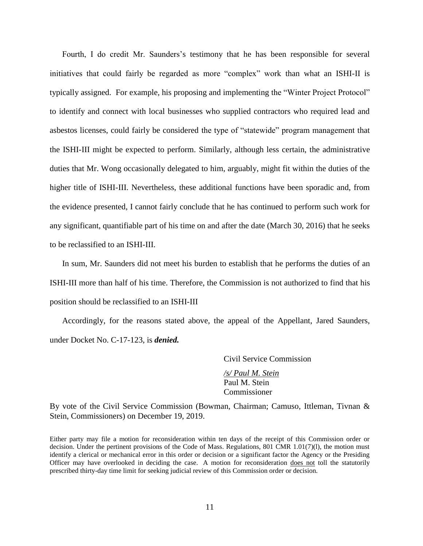Fourth, I do credit Mr. Saunders's testimony that he has been responsible for several initiatives that could fairly be regarded as more "complex" work than what an ISHI-II is typically assigned. For example, his proposing and implementing the "Winter Project Protocol" to identify and connect with local businesses who supplied contractors who required lead and asbestos licenses, could fairly be considered the type of "statewide" program management that the ISHI-III might be expected to perform. Similarly, although less certain, the administrative duties that Mr. Wong occasionally delegated to him, arguably, might fit within the duties of the higher title of ISHI-III. Nevertheless, these additional functions have been sporadic and, from the evidence presented, I cannot fairly conclude that he has continued to perform such work for any significant, quantifiable part of his time on and after the date (March 30, 2016) that he seeks to be reclassified to an ISHI-III.

In sum, Mr. Saunders did not meet his burden to establish that he performs the duties of an ISHI-III more than half of his time. Therefore, the Commission is not authorized to find that his position should be reclassified to an ISHI-III

Accordingly, for the reasons stated above, the appeal of the Appellant, Jared Saunders, under Docket No. C-17-123, is *denied.*

Civil Service Commission

*/s/ Paul M. Stein* Paul M. Stein Commissioner

By vote of the Civil Service Commission (Bowman, Chairman; Camuso, Ittleman, Tivnan & Stein, Commissioners) on December 19, 2019.

Either party may file a motion for reconsideration within ten days of the receipt of this Commission order or decision. Under the pertinent provisions of the Code of Mass. Regulations, 801 CMR 1.01(7)(l), the motion must identify a clerical or mechanical error in this order or decision or a significant factor the Agency or the Presiding Officer may have overlooked in deciding the case. A motion for reconsideration does not toll the statutorily prescribed thirty-day time limit for seeking judicial review of this Commission order or decision.